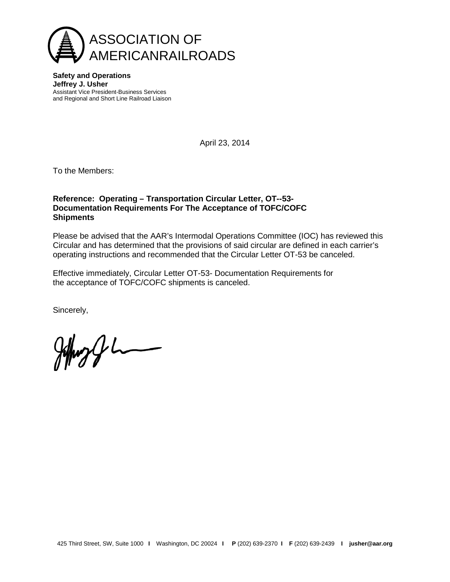

**Safety and Operations Jeffrey J. Usher** Assistant Vice President-Business Services and Regional and Short Line Railroad Liaison

April 23, 2014

To the Members:

## **Reference: Operating – Transportation Circular Letter, OT--53- Documentation Requirements For The Acceptance of TOFC/COFC Shipments**

Please be advised that the AAR's Intermodal Operations Committee (IOC) has reviewed this Circular and has determined that the provisions of said circular are defined in each carrier's operating instructions and recommended that the Circular Letter OT-53 be canceled.

Effective immediately, Circular Letter OT-53- Documentation Requirements for the acceptance of TOFC/COFC shipments is canceled.

Sincerely,

 $\begin{picture}(220,20) \put(0,0){\dashbox{0.5}(5,0){ }} \put(15,0){\dashbox{0.5}(5,0){ }} \put(15,0){\dashbox{0.5}(5,0){ }} \put(15,0){\dashbox{0.5}(5,0){ }} \put(15,0){\dashbox{0.5}(5,0){ }} \put(15,0){\dashbox{0.5}(5,0){ }} \put(15,0){\dashbox{0.5}(5,0){ }} \put(15,0){\dashbox{0.5}(5,0){ }} \put(15,0){\dashbox{0.5}(5,0){ }} \put(15,0){\dashbox{0.5}(5,0){$